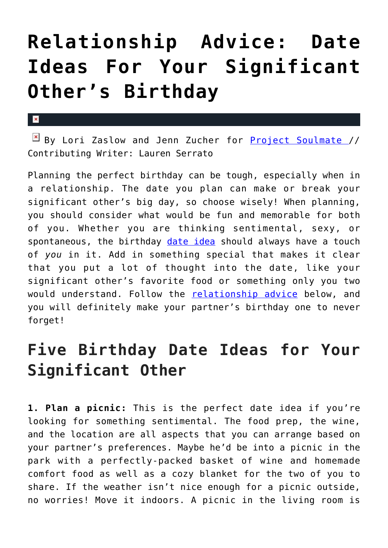## **[Relationship Advice: Date](https://cupidspulse.com/123548/relationship-advice-date-ideas-for-birthday/) [Ideas For Your Significant](https://cupidspulse.com/123548/relationship-advice-date-ideas-for-birthday/) [Other's Birthday](https://cupidspulse.com/123548/relationship-advice-date-ideas-for-birthday/)**

## $\mathbf{x}$

 $\boxed{\times}$  By Lori Zaslow and Jenn Zucher for [Project Soulmate](http://www.projectsoulmate.com/) // Contributing Writer: Lauren Serrato

Planning the perfect birthday can be tough, especially when in a relationship. The date you plan can make or break your significant other's big day, so choose wisely! When planning, you should consider what would be fun and memorable for both of you. Whether you are thinking sentimental, sexy, or spontaneous, the birthday [date idea](http://cupidspulse.com/love/weekend-date-ideas/) should always have a touch of *you* in it. Add in something special that makes it clear that you put a lot of thought into the date, like your significant other's favorite food or something only you two would understand. Follow the [relationship advice](http://cupidspulse.com/love/relationship-advice-articles/) below, and you will definitely make your partner's birthday one to never forget!

## **Five Birthday Date Ideas for Your Significant Other**

**1. Plan a picnic:** This is the perfect date idea if you're looking for something sentimental. The food prep, the wine, and the location are all aspects that you can arrange based on your partner's preferences. Maybe he'd be into a picnic in the park with a perfectly-packed basket of wine and homemade comfort food as well as a cozy blanket for the two of you to share. If the weather isn't nice enough for a picnic outside, no worries! Move it indoors. A picnic in the living room is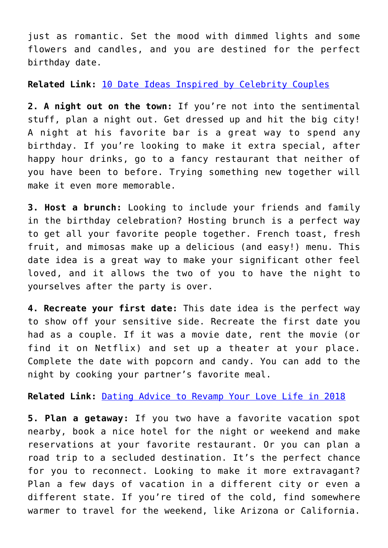just as romantic. Set the mood with dimmed lights and some flowers and candles, and you are destined for the perfect birthday date.

**Related Link:** [10 Date Ideas Inspired by Celebrity Couples](http://cupidspulse.com/122799/10-valentines-day-date-ideas-inspired-by-celebrity-couples/)

**2. A night out on the town:** If you're not into the sentimental stuff, plan a night out. Get dressed up and hit the big city! A night at his favorite bar is a great way to spend any birthday. If you're looking to make it extra special, after happy hour drinks, go to a fancy restaurant that neither of you have been to before. Trying something new together will make it even more memorable.

**3. Host a brunch:** Looking to include your friends and family in the birthday celebration? Hosting brunch is a perfect way to get all your favorite people together. French toast, fresh fruit, and mimosas make up a delicious (and easy!) menu. This date idea is a great way to make your significant other feel loved, and it allows the two of you to have the night to yourselves after the party is over.

**4. Recreate your first date:** This date idea is the perfect way to show off your sensitive side. Recreate the first date you had as a couple. If it was a movie date, rent the movie (or find it on Netflix) and set up a theater at your place. Complete the date with popcorn and candy. You can add to the night by cooking your partner's favorite meal.

**Related Link:** [Dating Advice to Revamp Your Love Life in 2018](http://cupidspulse.com/122031/project-soulmate-dating-advice-to-revamp-your-love-life/)

**5. Plan a getaway:** If you two have a favorite vacation spot nearby, book a nice hotel for the night or weekend and make reservations at your favorite restaurant. Or you can plan a road trip to a secluded destination. It's the perfect chance for you to reconnect. Looking to make it more extravagant? Plan a few days of vacation in a different city or even a different state. If you're tired of the cold, find somewhere warmer to travel for the weekend, like Arizona or California.